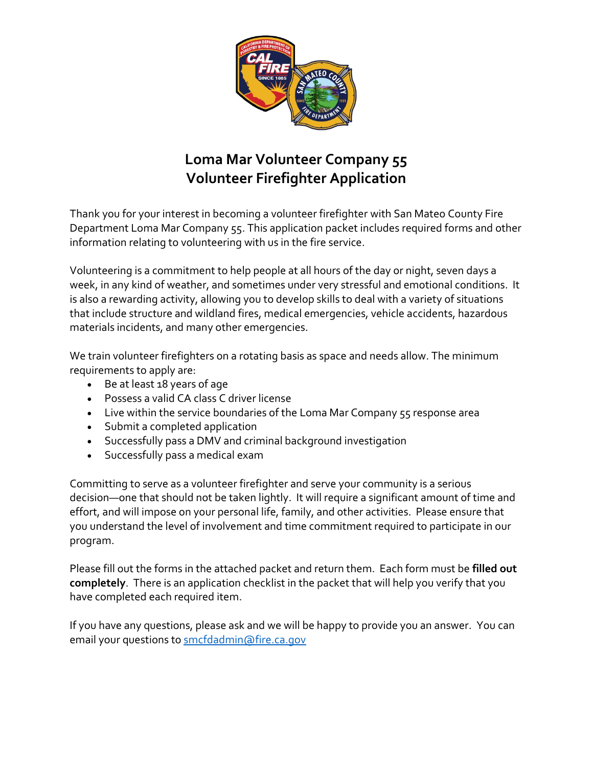

# **Loma Mar Volunteer Company 55 Volunteer Firefighter Application**

Thank you for your interest in becoming a volunteer firefighter with San Mateo County Fire Department Loma Mar Company 55. This application packet includes required forms and other information relating to volunteering with us in the fire service.

Volunteering is a commitment to help people at all hours of the day or night, seven days a week, in any kind of weather, and sometimes under very stressful and emotional conditions. It is also a rewarding activity, allowing you to develop skills to deal with a variety of situations that include structure and wildland fires, medical emergencies, vehicle accidents, hazardous materials incidents, and many other emergencies.

We train volunteer firefighters on a rotating basis as space and needs allow. The minimum requirements to apply are:

- Be at least 18 years of age
- Possess a valid CA class C driver license
- Live within the service boundaries of the Loma Mar Company 55 response area
- Submit a completed application
- Successfully pass a DMV and criminal background investigation
- Successfully pass a medical exam

Committing to serve as a volunteer firefighter and serve your community is a serious decision—one that should not be taken lightly. It will require a significant amount of time and effort, and will impose on your personal life, family, and other activities. Please ensure that you understand the level of involvement and time commitment required to participate in our program.

Please fill out the forms in the attached packet and return them. Each form must be **filled out completely**. There is an application checklist in the packet that will help you verify that you have completed each required item.

If you have any questions, please ask and we will be happy to provide you an answer. You can email your questions to [smcfdadmin@fire.ca.gov](mailto:smcfdadmin@fire.ca.gov)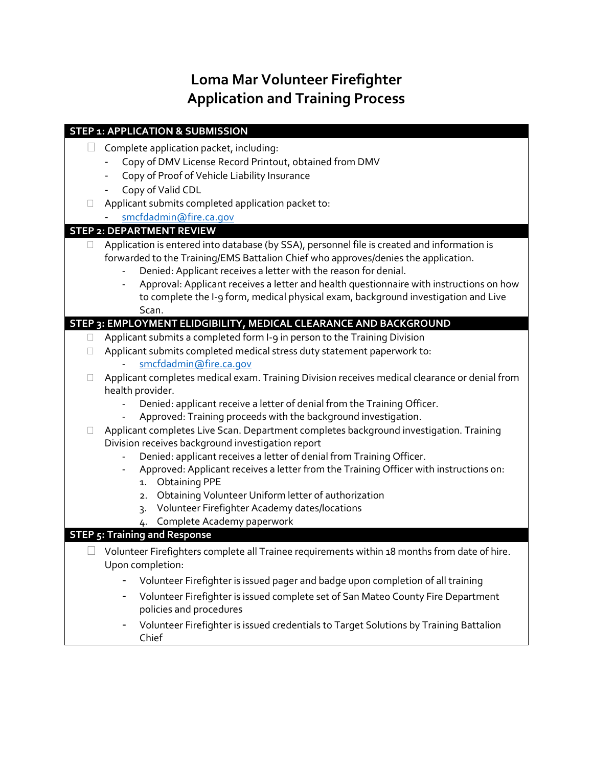# **Loma Mar Volunteer Firefighter Application and Training Process**

|        | <b>STEP 1: APPLICATION &amp; SUBMISSION</b>                                                   |
|--------|-----------------------------------------------------------------------------------------------|
|        | Complete application packet, including:                                                       |
|        | Copy of DMV License Record Printout, obtained from DMV                                        |
|        | Copy of Proof of Vehicle Liability Insurance                                                  |
|        | Copy of Valid CDL                                                                             |
| П      | Applicant submits completed application packet to:                                            |
|        | smcfdadmin@fire.ca.gov                                                                        |
|        | <b>STEP 2: DEPARTMENT REVIEW</b>                                                              |
| $\Box$ | Application is entered into database (by SSA), personnel file is created and information is   |
|        | forwarded to the Training/EMS Battalion Chief who approves/denies the application.            |
|        | Denied: Applicant receives a letter with the reason for denial.                               |
|        | Approval: Applicant receives a letter and health questionnaire with instructions on how       |
|        | to complete the I-9 form, medical physical exam, background investigation and Live            |
|        | Scan.                                                                                         |
|        | STEP 3: EMPLOYMENT ELIDGIBILITY, MEDICAL CLEARANCE AND BACKGROUND                             |
| $\Box$ | Applicant submits a completed form I-9 in person to the Training Division                     |
| $\Box$ | Applicant submits completed medical stress duty statement paperwork to:                       |
|        | smcfdadmin@fire.ca.gov                                                                        |
| Ш      | Applicant completes medical exam. Training Division receives medical clearance or denial from |
|        | health provider.<br>Denied: applicant receive a letter of denial from the Training Officer.   |
|        | Approved: Training proceeds with the background investigation.                                |
| Ш      | Applicant completes Live Scan. Department completes background investigation. Training        |
|        | Division receives background investigation report                                             |
|        | Denied: applicant receives a letter of denial from Training Officer.                          |
|        | Approved: Applicant receives a letter from the Training Officer with instructions on:         |
|        | <b>Obtaining PPE</b><br>1.                                                                    |
|        | Obtaining Volunteer Uniform letter of authorization<br>2.                                     |
|        | Volunteer Firefighter Academy dates/locations<br>$\overline{3}$                               |
|        | Complete Academy paperwork<br>4.                                                              |
|        | <b>STEP 5: Training and Response</b>                                                          |
|        | Volunteer Firefighters complete all Trainee requirements within 18 months from date of hire.  |
|        | Upon completion:                                                                              |
|        | Volunteer Firefighter is issued pager and badge upon completion of all training               |
|        | Volunteer Firefighter is issued complete set of San Mateo County Fire Department              |
|        | policies and procedures                                                                       |
|        | Volunteer Firefighter is issued credentials to Target Solutions by Training Battalion         |
|        | Chief                                                                                         |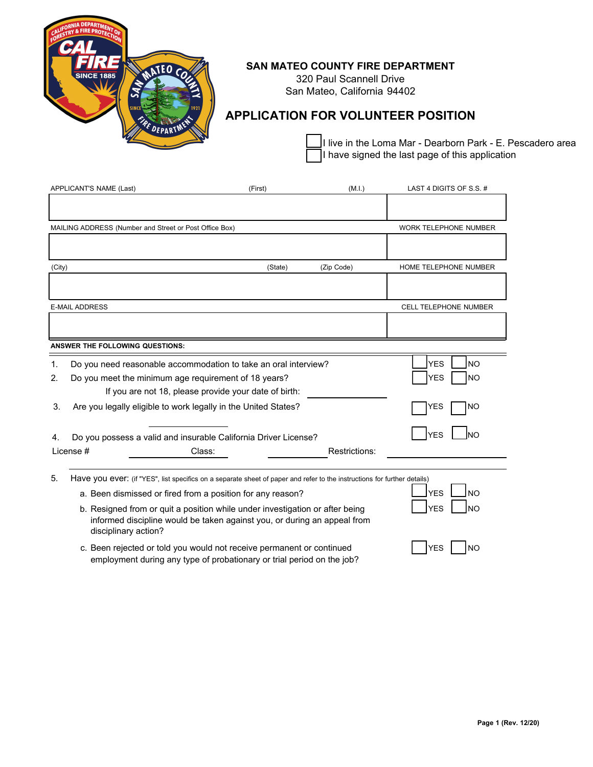

### **SAN MATEO COUNTY FIRE DEPARTMENT**

320 Paul Scannell Drive San Mateo, California 94402

## **APPLICATION FOR VOLUNTEER POSITION**

I live in the Loma Mar - Dearborn Park - E. Pescadero area I have signed the last page of this application

|                | APPLICANT'S NAME (Last)                                        | (First)                                                                                                                                                  | (M.I.)        | LAST 4 DIGITS OF S.S. # |                              |
|----------------|----------------------------------------------------------------|----------------------------------------------------------------------------------------------------------------------------------------------------------|---------------|-------------------------|------------------------------|
|                |                                                                |                                                                                                                                                          |               |                         |                              |
|                | MAILING ADDRESS (Number and Street or Post Office Box)         |                                                                                                                                                          |               |                         | <b>WORK TELEPHONE NUMBER</b> |
|                |                                                                |                                                                                                                                                          |               |                         |                              |
| (City)         |                                                                | (State)                                                                                                                                                  | (Zip Code)    |                         | HOME TELEPHONE NUMBER        |
|                |                                                                |                                                                                                                                                          |               |                         |                              |
|                | <b>E-MAIL ADDRESS</b>                                          |                                                                                                                                                          |               |                         | CELL TELEPHONE NUMBER        |
|                |                                                                |                                                                                                                                                          |               |                         |                              |
|                | <b>ANSWER THE FOLLOWING QUESTIONS:</b>                         |                                                                                                                                                          |               |                         |                              |
| $\mathbf{1}$ . |                                                                | Do you need reasonable accommodation to take an oral interview?                                                                                          |               | <b>YES</b>              | <b>NO</b>                    |
| 2.             | Do you meet the minimum age requirement of 18 years?           |                                                                                                                                                          |               | <b>YES</b>              | <b>NO</b>                    |
|                |                                                                | If you are not 18, please provide your date of birth:                                                                                                    |               |                         |                              |
| 3.             | Are you legally eligible to work legally in the United States? |                                                                                                                                                          |               | <b>YES</b>              | <b>NO</b>                    |
| 4.             |                                                                | Do you possess a valid and insurable California Driver License?                                                                                          |               | <b>YES</b>              |                              |
|                | License #                                                      | Class:                                                                                                                                                   | Restrictions: |                         |                              |
| 5.             |                                                                | Have you ever: (if "YES", list specifics on a separate sheet of paper and refer to the instructions for further details)                                 |               |                         |                              |
|                |                                                                | a. Been dismissed or fired from a position for any reason?                                                                                               |               | <b>YES</b>              | Ino                          |
|                | disciplinary action?                                           | b. Resigned from or quit a position while under investigation or after being<br>informed discipline would be taken against you, or during an appeal from |               | <b>YES</b>              | <b>NO</b>                    |
|                |                                                                | c. Been rejected or told you would not receive permanent or continued                                                                                    |               | <b>YES</b>              | NO.                          |

employment during any type of probationary or trial period on the job?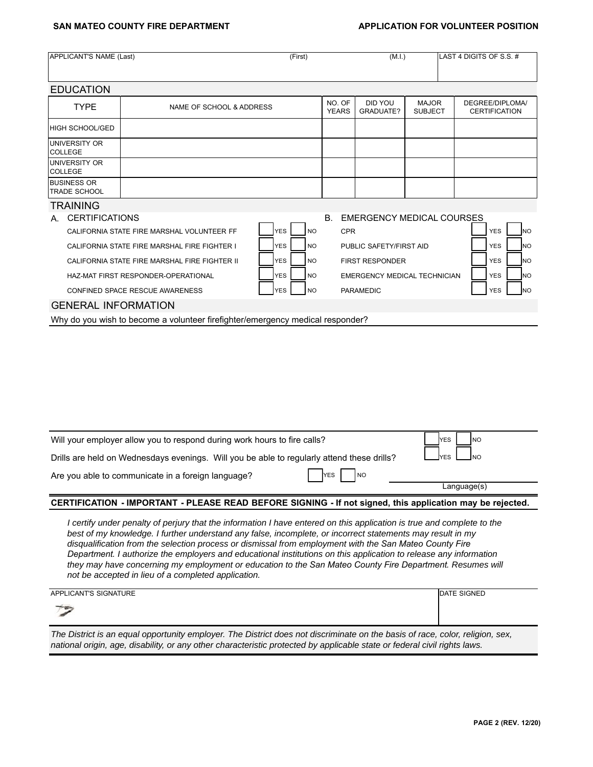### **SAN MATEO COUNTY FIRE DEPARTMENT ASSESSED APPLICATION FOR VOLUNTEER POSITION**

| APPLICANT'S NAME (Last)                   |                                               | (First)                 |                        | (M.I.)                              |                                | LAST 4 DIGITS OF S.S. #                 |
|-------------------------------------------|-----------------------------------------------|-------------------------|------------------------|-------------------------------------|--------------------------------|-----------------------------------------|
| <b>EDUCATION</b>                          |                                               |                         |                        |                                     |                                |                                         |
| <b>TYPE</b>                               | NAME OF SCHOOL & ADDRESS                      |                         | NO. OF<br><b>YEARS</b> | DID YOU<br>GRADUATE?                | <b>MAJOR</b><br><b>SUBJECT</b> | DEGREE/DIPLOMA/<br><b>CERTIFICATION</b> |
| HIGH SCHOOL/GED                           |                                               |                         |                        |                                     |                                |                                         |
| <b>UNIVERSITY OR</b><br>COLLEGE           |                                               |                         |                        |                                     |                                |                                         |
| <b>UNIVERSITY OR</b><br><b>COLLEGE</b>    |                                               |                         |                        |                                     |                                |                                         |
| <b>BUSINESS OR</b><br><b>TRADE SCHOOL</b> |                                               |                         |                        |                                     |                                |                                         |
| <b>TRAINING</b>                           |                                               |                         |                        |                                     |                                |                                         |
| <b>CERTIFICATIONS</b><br>A.               |                                               |                         | B <sub>1</sub>         | <b>EMERGENCY MEDICAL COURSES</b>    |                                |                                         |
|                                           | CALIFORNIA STATE FIRE MARSHAL VOLUNTEER FF    | <b>YES</b><br><b>NO</b> | <b>CPR</b>             |                                     |                                | <b>NO</b><br><b>YES</b>                 |
|                                           | CALIFORNIA STATE FIRE MARSHAL FIRE FIGHTER I  | <b>YES</b><br><b>NO</b> |                        | PUBLIC SAFETY/FIRST AID             |                                | <b>YES</b><br><b>INO</b>                |
|                                           | CALIFORNIA STATE FIRE MARSHAL FIRE FIGHTER II | <b>YES</b><br><b>NO</b> |                        | <b>FIRST RESPONDER</b>              |                                | <b>YES</b><br><b>INO</b>                |
|                                           | HAZ-MAT FIRST RESPONDER-OPERATIONAL           | <b>YES</b><br><b>NO</b> |                        | <b>EMERGENCY MEDICAL TECHNICIAN</b> |                                | <b>YES</b><br><b>NO</b>                 |
|                                           | CONFINED SPACE RESCUE AWARENESS               | <b>YES</b><br><b>NO</b> |                        | PARAMEDIC                           |                                | <b>YES</b><br><b>INO</b>                |

### GENERAL INFORMATION

Why do you wish to become a volunteer firefighter/emergency medical responder?

| Will your employer allow you to respond during work hours to fire calls?                                                                                                                                                                                                                                                                      | <b>IYES</b><br>INO |             |  |  |
|-----------------------------------------------------------------------------------------------------------------------------------------------------------------------------------------------------------------------------------------------------------------------------------------------------------------------------------------------|--------------------|-------------|--|--|
| Drills are held on Wednesdays evenings. Will you be able to regularly attend these drills?                                                                                                                                                                                                                                                    |                    |             |  |  |
| Are you able to communicate in a foreign language?<br><b>YES</b><br><b>NO</b>                                                                                                                                                                                                                                                                 |                    |             |  |  |
|                                                                                                                                                                                                                                                                                                                                               |                    | Language(s) |  |  |
| CERTIFICATION - IMPORTANT - PLEASE READ BEFORE SIGNING - If not signed, this application may be rejected.                                                                                                                                                                                                                                     |                    |             |  |  |
| certify under penalty of perjury that the information I have entered on this application is true and complete to the<br>best of my knowledge. I further understand any false, incomplete, or incorrect statements may result in my<br>disqualification from the selection process or dismissal from employment with the San Mateo County Fire |                    |             |  |  |

*disqualification from the selection process or dismissal from employment with the San Mateo County Fire Department. I authorize the employers and educational institutions on this application to release any information they may have concerning my employment or education to the San Mateo County Fire Department. Resumes will not be accepted in lieu of a completed application.*

| APPLICANT'S SIGNATURE<br><b>IDATE SIGNED</b>                                                                                  |  |  |  |
|-------------------------------------------------------------------------------------------------------------------------------|--|--|--|
| $\rightarrow$                                                                                                                 |  |  |  |
| The District is an equal opportunity employer. The District does not discriminate on the basis of race, color, religion, sex, |  |  |  |

*national origin, age, disability, or any other characteristic protected by applicable state or federal civil rights laws.*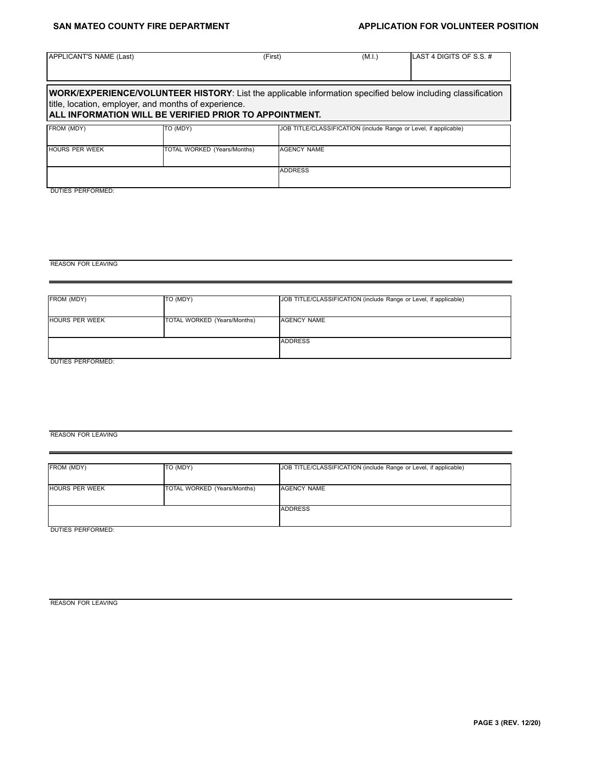### SAN MATEO COUNTY FIRE DEPARTMENT **APPLICATION FOR VOLUNTEER POSITION**

| APPLICANT'S NAME (Last) |                                                                                                                                                                                                                                      | (First)            | (M.I.) | LAST 4 DIGITS OF S.S. #                                          |
|-------------------------|--------------------------------------------------------------------------------------------------------------------------------------------------------------------------------------------------------------------------------------|--------------------|--------|------------------------------------------------------------------|
|                         | <b>WORK/EXPERIENCE/VOLUNTEER HISTORY:</b> List the applicable information specified below including classification<br>title, location, employer, and months of experience.<br>ALL INFORMATION WILL BE VERIFIED PRIOR TO APPOINTMENT. |                    |        |                                                                  |
| FROM (MDY)              | TO (MDY)                                                                                                                                                                                                                             |                    |        | JOB TITLE/CLASSIFICATION (include Range or Level, if applicable) |
| <b>HOURS PER WEEK</b>   | TOTAL WORKED (Years/Months)                                                                                                                                                                                                          | <b>AGENCY NAME</b> |        |                                                                  |
|                         |                                                                                                                                                                                                                                      | <b>ADDRESS</b>     |        |                                                                  |

DUTIES PERFORMED:

REASON FOR LEAVING

| FROM (MDY)            | TO (MDY)                    | JOB TITLE/CLASSIFICATION (include Range or Level, if applicable) |
|-----------------------|-----------------------------|------------------------------------------------------------------|
|                       |                             |                                                                  |
| <b>HOURS PER WEEK</b> | TOTAL WORKED (Years/Months) | AGENCY NAME                                                      |
|                       |                             |                                                                  |
|                       |                             | <b>ADDRESS</b>                                                   |
|                       |                             |                                                                  |
| DUTIES PERFORMED:     |                             |                                                                  |

### REASON FOR LEAVING

| <b>HOURS PER WEEK</b><br>AGENCY NAME<br>TOTAL WORKED (Years/Months)<br><b>ADDRESS</b> | FROM (MDY) | TO (MDY) | JOB TITLE/CLASSIFICATION (include Range or Level, if applicable) |
|---------------------------------------------------------------------------------------|------------|----------|------------------------------------------------------------------|
|                                                                                       |            |          |                                                                  |
|                                                                                       |            |          |                                                                  |

REASON FOR LEAVING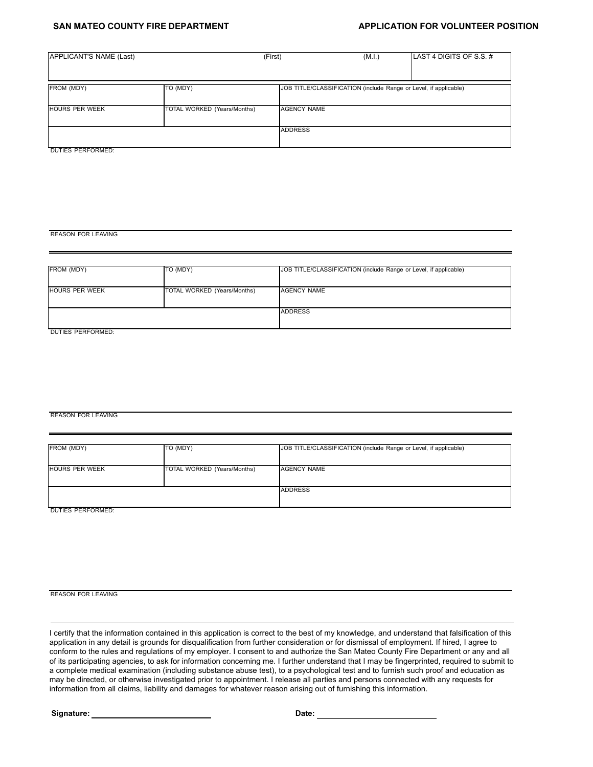### **SAN MATEO COUNTY FIRE DEPARTMENT ASSESSED APPLICATION FOR VOLUNTEER POSITION**

| APPLICANT'S NAME (Last)<br>(First) |                             |                                                                  | (M.I.) | LAST 4 DIGITS OF S.S. # |
|------------------------------------|-----------------------------|------------------------------------------------------------------|--------|-------------------------|
|                                    |                             |                                                                  |        |                         |
|                                    |                             |                                                                  |        |                         |
| FROM (MDY)                         | TO (MDY)                    | JOB TITLE/CLASSIFICATION (include Range or Level, if applicable) |        |                         |
|                                    |                             |                                                                  |        |                         |
| <b>HOURS PER WEEK</b>              | TOTAL WORKED (Years/Months) | AGENCY NAME                                                      |        |                         |
|                                    |                             |                                                                  |        |                         |
|                                    |                             | <b>ADDRESS</b>                                                   |        |                         |
|                                    |                             |                                                                  |        |                         |

DUTIES PERFORMED:

REASON FOR LEAVING

| FROM (MDY)            | TO (MDY)                    | JOB TITLE/CLASSIFICATION (include Range or Level, if applicable) |
|-----------------------|-----------------------------|------------------------------------------------------------------|
| <b>HOURS PER WEEK</b> | TOTAL WORKED (Years/Months) | <b>AGENCY NAME</b>                                               |
|                       |                             | <b>ADDRESS</b>                                                   |
| DUTIES PERFORMED:     |                             |                                                                  |

### REASON FOR LEAVING

| FROM (MDY)            | TO (MDY)                    | JOB TITLE/CLASSIFICATION (include Range or Level, if applicable) |
|-----------------------|-----------------------------|------------------------------------------------------------------|
| <b>HOURS PER WEEK</b> | TOTAL WORKED (Years/Months) | <b>AGENCY NAME</b>                                               |
|                       |                             | <b>ADDRESS</b>                                                   |

DUTIES PERFORMED:

REASON FOR LEAVING

I certify that the information contained in this application is correct to the best of my knowledge, and understand that falsification of this application in any detail is grounds for disqualification from further consideration or for dismissal of employment. If hired, I agree to conform to the rules and regulations of my employer. I consent to and authorize the San Mateo County Fire Department or any and all of its participating agencies, to ask for information concerning me. I further understand that I may be fingerprinted, required to submit to a complete medical examination (including substance abuse test), to a psychological test and to furnish such proof and education as may be directed, or otherwise investigated prior to appointment. I release all parties and persons connected with any requests for information from all claims, liability and damages for whatever reason arising out of furnishing this information.

**Signature:** 2008. **Date:** 2008. **Date:** 2008. **Date:** 2008. **Date:** 2008. 2018. 2018. 2018. 2019. 2019. 2019. 2019. 2019. 2019. 2019. 2019. 2019. 2019. 2019. 2019. 2019. 2019. 2019. 2019. 2019. 2019. 2019. 2019. 2019. 201